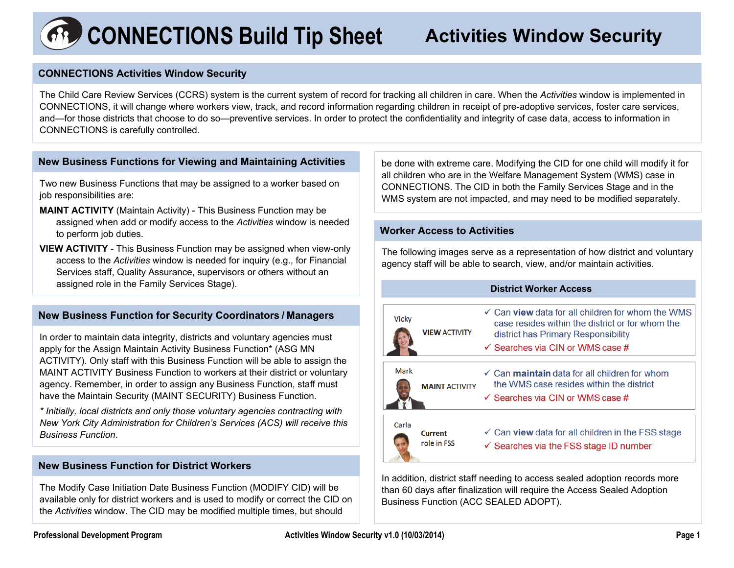# **CONNECTIONS Build Tip Sheet Activities Window Security**

#### **CONNECTIONS Activities Window Security**

The Child Care Review Services (CCRS) system is the current system of record for tracking all children in care. When the *Activities* window is implemented in CONNECTIONS, it will change where workers view, track, and record information regarding children in receipt of pre-adoptive services, foster care services, and—for those districts that choose to do so—preventive services. In order to protect the confidentiality and integrity of case data, access to information in CONNECTIONS is carefully controlled.

#### **New Business Functions for Viewing and Maintaining Activities**

Two new Business Functions that may be assigned to a worker based on job responsibilities are:

- **MAINT ACTIVITY** (Maintain Activity) This Business Function may be assigned when add or modify access to the *Activities* window is needed to perform job duties.
- **VIEW ACTIVITY**  This Business Function may be assigned when view-only access to the *Activities* window is needed for inquiry (e.g., for Financial Services staff, Quality Assurance, supervisors or others without an assigned role in the Family Services Stage).

### **New Business Function for Security Coordinators / Managers**

In order to maintain data integrity, districts and voluntary agencies must apply for the Assign Maintain Activity Business Function\* (ASG MN ACTIVITY). Only staff with this Business Function will be able to assign the MAINT ACTIVITY Business Function to workers at their district or voluntary agency. Remember, in order to assign any Business Function, staff must have the Maintain Security (MAINT SECURITY) Business Function.

*\* Initially, local districts and only those voluntary agencies contracting with New York City Administration for Children's Services (ACS) will receive this Business Function*.

#### **New Business Function for District Workers**

The Modify Case Initiation Date Business Function (MODIFY CID) will be available only for district workers and is used to modify or correct the CID on the *Activities* window. The CID may be modified multiple times, but should

be done with extreme care. Modifying the CID for one child will modify it for all children who are in the Welfare Management System (WMS) case in CONNECTIONS. The CID in both the Family Services Stage and in the WMS system are not impacted, and may need to be modified separately.

#### **Worker Access to Activities**

The following images serve as a representation of how district and voluntary agency staff will be able to search, view, and/or maintain activities.

#### **District Worker Access**



In addition, district staff needing to access sealed adoption records more than 60 days after finalization will require the Access Sealed Adoption Business Function (ACC SEALED ADOPT).